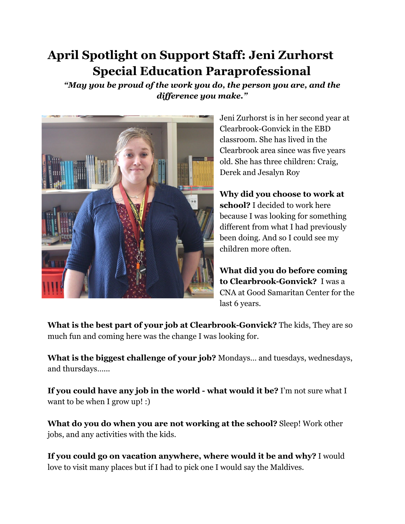## **April Spotlight on Support Staff: Jeni Zurhorst Special Education Paraprofessional**

*"May you be proud of the work you do, the person you are, and the difference you make."* 



Jeni Zurhorst is in her second year at Clearbrook-Gonvick in the EBD classroom. She has lived in the Clearbrook area since was five years old. She has three children: Craig, Derek and Jesalyn Roy

**Why did you choose to work at school?** I decided to work here because I was looking for something different from what I had previously been doing. And so I could see my children more often.

**What did you do before coming to Clearbrook-Gonvick?**  I was a CNA at Good Samaritan Center for the last 6 years.

**What is the best part of your job at Clearbrook-Gonvick?** The kids, They are so much fun and coming here was the change I was looking for.

**What is the biggest challenge of your job?** Mondays… and tuesdays, wednesdays, and thursdays…...

**If you could have any job in the world - what would it be?** I'm not sure what I want to be when I grow up! :)

**What do you do when you are not working at the school?** Sleep! Work other jobs, and any activities with the kids.

**If you could go on vacation anywhere, where would it be and why?** I would love to visit many places but if I had to pick one I would say the Maldives.